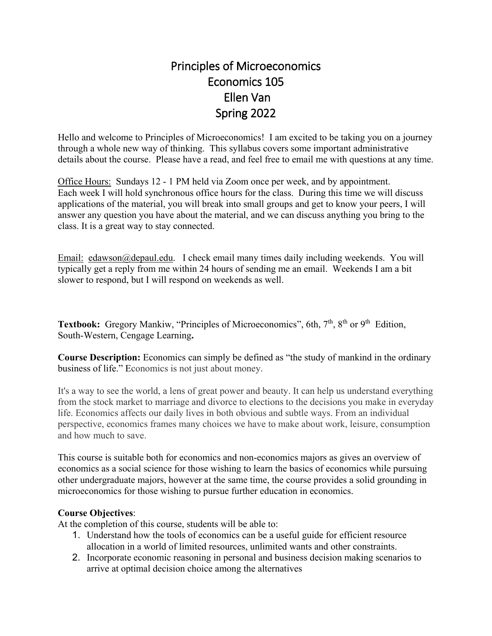# Principles of Microeconomics Economics 105 Ellen Van Spring 2022

Hello and welcome to Principles of Microeconomics! I am excited to be taking you on a journey through a whole new way of thinking. This syllabus covers some important administrative details about the course. Please have a read, and feel free to email me with questions at any time.

Office Hours: Sundays 12 - 1 PM held via Zoom once per week, and by appointment. Each week I will hold synchronous office hours for the class. During this time we will discuss applications of the material, you will break into small groups and get to know your peers, I will answer any question you have about the material, and we can discuss anything you bring to the class. It is a great way to stay connected.

Email: [edawson@depaul.edu.](mailto:edawson@depaul.edu) I check email many times daily including weekends. You will typically get a reply from me within 24 hours of sending me an email. Weekends I am a bit slower to respond, but I will respond on weekends as well.

Textbook: Gregory Mankiw, "Principles of Microeconomics", 6th, 7<sup>th</sup>, 8<sup>th</sup> or 9<sup>th</sup> Edition, South-Western, Cengage Learning**.** 

**Course Description:** Economics can simply be defined as "the study of mankind in the ordinary business of life." Economics is not just about money.

It's a way to see the world, a lens of great power and beauty. It can help us understand everything from the stock market to marriage and divorce to elections to the decisions you make in everyday life. Economics affects our daily lives in both obvious and subtle ways. From an individual perspective, economics frames many choices we have to make about work, leisure, consumption and how much to save.

This course is suitable both for economics and non-economics majors as gives an overview of economics as a social science for those wishing to learn the basics of economics while pursuing other undergraduate majors, however at the same time, the course provides a solid grounding in microeconomics for those wishing to pursue further education in economics.

## **Course Objectives**:

At the completion of this course, students will be able to:

- 1. Understand how the tools of economics can be a useful guide for efficient resource allocation in a world of limited resources, unlimited wants and other constraints.
- 2. Incorporate economic reasoning in personal and business decision making scenarios to arrive at optimal decision choice among the alternatives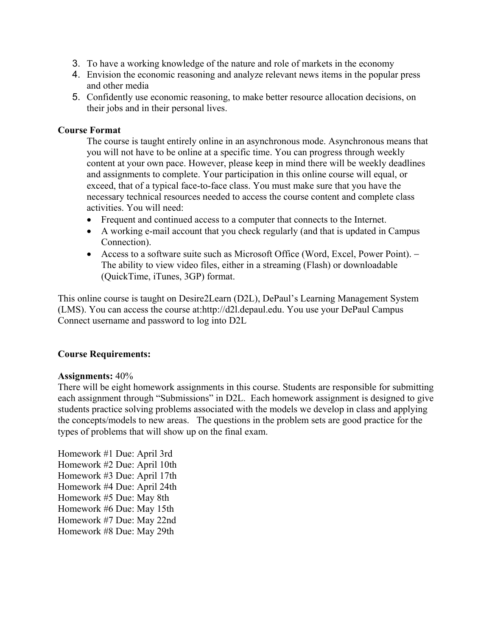- 3. To have a working knowledge of the nature and role of markets in the economy
- 4. Envision the economic reasoning and analyze relevant news items in the popular press and other media
- 5. Confidently use economic reasoning, to make better resource allocation decisions, on their jobs and in their personal lives.

## **Course Format**

The course is taught entirely online in an asynchronous mode. Asynchronous means that you will not have to be online at a specific time. You can progress through weekly content at your own pace. However, please keep in mind there will be weekly deadlines and assignments to complete. Your participation in this online course will equal, or exceed, that of a typical face-to-face class. You must make sure that you have the necessary technical resources needed to access the course content and complete class activities. You will need:

- Frequent and continued access to a computer that connects to the Internet.
- A working e-mail account that you check regularly (and that is updated in Campus Connection).
- Access to a software suite such as Microsoft Office (Word, Excel, Power Point). − The ability to view video files, either in a streaming (Flash) or downloadable (QuickTime, iTunes, 3GP) format.

This online course is taught on Desire2Learn (D2L), DePaul's Learning Management System (LMS). You can access the course at:http://d2l.depaul.edu. You use your DePaul Campus Connect username and password to log into D2L

## **Course Requirements:**

#### **Assignments:** 40%

There will be eight homework assignments in this course. Students are responsible for submitting each assignment through "Submissions" in D2L. Each homework assignment is designed to give students practice solving problems associated with the models we develop in class and applying the concepts/models to new areas. The questions in the problem sets are good practice for the types of problems that will show up on the final exam.

Homework #1 Due: April 3rd Homework #2 Due: April 10th Homework #3 Due: April 17th Homework #4 Due: April 24th Homework #5 Due: May 8th Homework #6 Due: May 15th Homework #7 Due: May 22nd Homework #8 Due: May 29th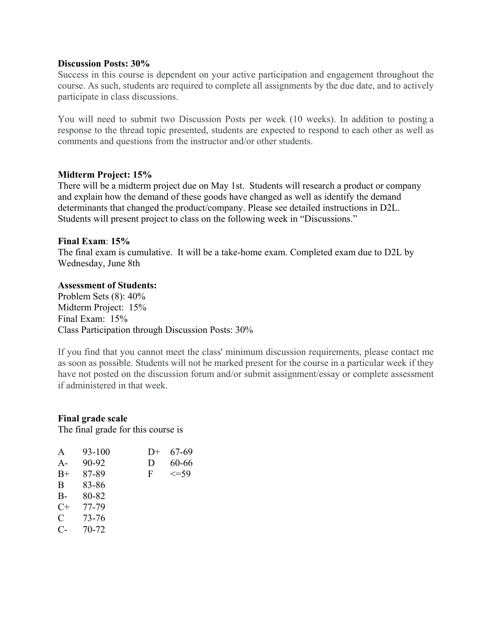#### **Discussion Posts: 30%**

Success in this course is dependent on your active participation and engagement throughout the course. As such, students are required to complete all assignments by the due date, and to actively participate in class discussions.

You will need to submit two Discussion Posts per week (10 weeks). In addition to posting a response to the thread topic presented, students are expected to respond to each other as well as comments and questions from the instructor and/or other students.

## **Midterm Project: 15%**

There will be a midterm project due on May 1st. Students will research a product or company and explain how the demand of these goods have changed as well as identify the demand determinants that changed the product/company. Please see detailed instructions in D2L. Students will present project to class on the following week in "Discussions."

#### **Final Exam**: **15%**

The final exam is cumulative. It will be a take-home exam. Completed exam due to D2L by Wednesday, June 8th

#### **Assessment of Students:**

Problem Sets (8): 40% Midterm Project: 15% Final Exam: 15% Class Participation through Discussion Posts: 30%

If you find that you cannot meet the class' minimum discussion requirements, please contact me as soon as possible. Students will not be marked present for the course in a particular week if they have not posted on the discussion forum and/or submit assignment/essay or complete assessment if administered in that week.

#### **Final grade scale**

The final grade for this course is

| A     | 93-100 | $1) +$ | 67-69      |
|-------|--------|--------|------------|
| $A -$ | 90-92  | D      | 60-66      |
| $B+$  | 87-89  | F      | $\leq$ =59 |
| B     | 83-86  |        |            |
| $B -$ | 80-82  |        |            |
| $C+$  | 77-79  |        |            |
| C     | 73-76  |        |            |
| $C$ - | 70-72  |        |            |
|       |        |        |            |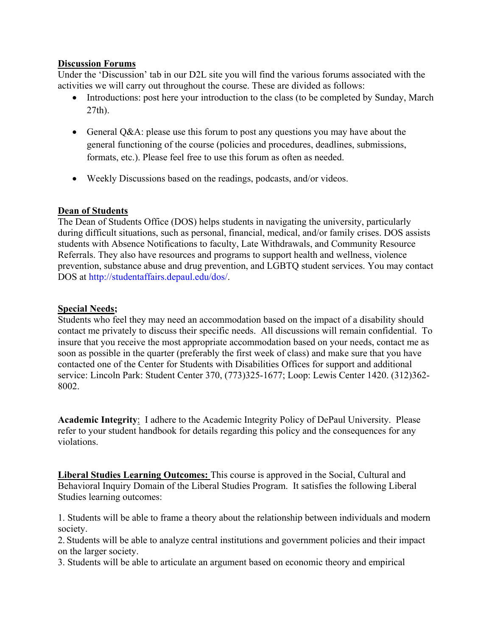## **Discussion Forums**

Under the 'Discussion' tab in our D2L site you will find the various forums associated with the activities we will carry out throughout the course. These are divided as follows:

- Introductions: post here your introduction to the class (to be completed by Sunday, March 27th).
- General Q&A: please use this forum to post any questions you may have about the general functioning of the course (policies and procedures, deadlines, submissions, formats, etc.). Please feel free to use this forum as often as needed.
- Weekly Discussions based on the readings, podcasts, and/or videos.

## **Dean of Students**

The Dean of Students Office (DOS) helps students in navigating the university, particularly during difficult situations, such as personal, financial, medical, and/or family crises. DOS assists students with Absence Notifications to faculty, Late Withdrawals, and Community Resource Referrals. They also have resources and programs to support health and wellness, violence prevention, substance abuse and drug prevention, and LGBTQ student services. You may contact DOS at http://studentaffairs.depaul.edu/dos/.

## **Special Needs;**

Students who feel they may need an accommodation based on the impact of a disability should contact me privately to discuss their specific needs. All discussions will remain confidential. To insure that you receive the most appropriate accommodation based on your needs, contact me as soon as possible in the quarter (preferably the first week of class) and make sure that you have contacted one of the Center for Students with Disabilities Offices for support and additional service: Lincoln Park: Student Center 370, (773)325-1677; Loop: Lewis Center 1420. (312)362- 8002.

**Academic Integrity**: I adhere to the Academic Integrity Policy of DePaul University. Please refer to your student handbook for details regarding this policy and the consequences for any violations.

**Liberal Studies Learning Outcomes:** This course is approved in the Social, Cultural and Behavioral Inquiry Domain of the Liberal Studies Program. It satisfies the following Liberal Studies learning outcomes:

1. Students will be able to frame a theory about the relationship between individuals and modern society.

2. Students will be able to analyze central institutions and government policies and their impact on the larger society.

3. Students will be able to articulate an argument based on economic theory and empirical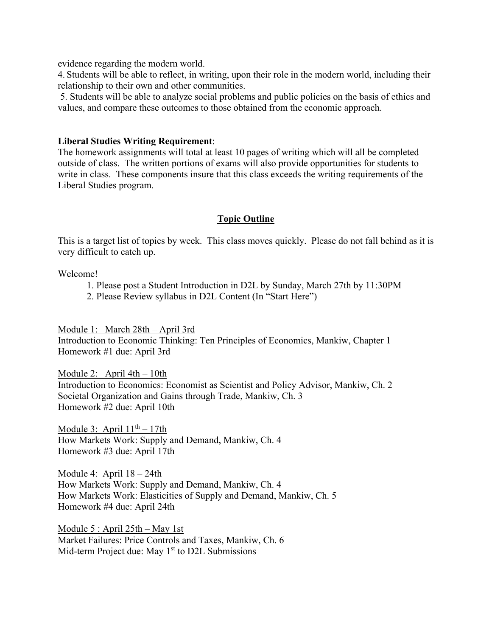evidence regarding the modern world.

4. Students will be able to reflect, in writing, upon their role in the modern world, including their relationship to their own and other communities.

 5. Students will be able to analyze social problems and public policies on the basis of ethics and values, and compare these outcomes to those obtained from the economic approach.

## **Liberal Studies Writing Requirement**:

The homework assignments will total at least 10 pages of writing which will all be completed outside of class. The written portions of exams will also provide opportunities for students to write in class. These components insure that this class exceeds the writing requirements of the Liberal Studies program.

# **Topic Outline**

This is a target list of topics by week. This class moves quickly. Please do not fall behind as it is very difficult to catch up.

Welcome!

- 1. Please post a Student Introduction in D2L by Sunday, March 27th by 11:30PM
- 2. Please Review syllabus in D2L Content (In "Start Here")

Module 1: March 28th – April 3rd Introduction to Economic Thinking: Ten Principles of Economics, Mankiw, Chapter 1 Homework #1 due: April 3rd

Module 2: April  $4th - 10th$ Introduction to Economics: Economist as Scientist and Policy Advisor, Mankiw, Ch. 2 Societal Organization and Gains through Trade, Mankiw, Ch. 3 Homework #2 due: April 10th

Module 3: April  $11<sup>th</sup> - 17th$ How Markets Work: Supply and Demand, Mankiw, Ch. 4 Homework #3 due: April 17th

Module 4: April 18 – 24th How Markets Work: Supply and Demand, Mankiw, Ch. 4 How Markets Work: Elasticities of Supply and Demand, Mankiw, Ch. 5 Homework #4 due: April 24th

Module 5 : April 25th – May 1st Market Failures: Price Controls and Taxes, Mankiw, Ch. 6 Mid-term Project due: May  $1<sup>st</sup>$  to D2L Submissions